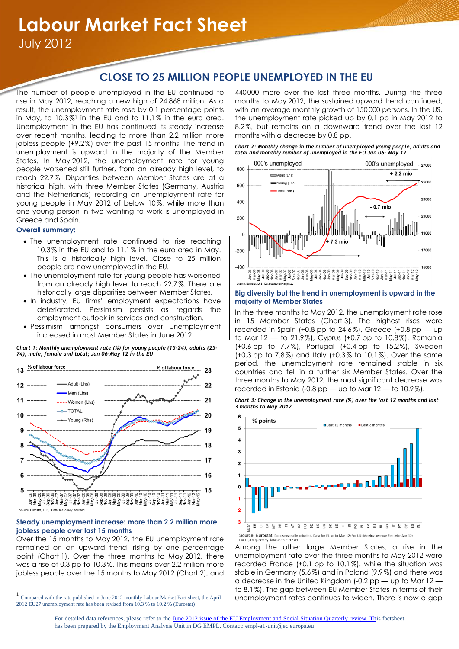# **Labour Market Fact Sheet**

July 2012

# **CLOSE TO 25 MILLION PEOPLE UNEMPLOYED IN THE EU**

The number of people unemployed in the EU continued to rise in May 2012, reaching a new high of 24.868 million. As a result, the unemployment rate rose by 0.1 percentage points in May, to  $10.3\%$ <sup>1</sup> in the EU and to  $11.1\%$  in the euro area. Unemployment in the EU has continued its steady increase over recent months, leading to more than 2.2 million more jobless people (+9.2%) over the past 15 months. The trend in unemployment is upward in the majority of the Member States. In May 2012, the unemployment rate for young people worsened still further, from an already high level, to reach 22.7%. Disparities between Member States are at a historical high, with three Member States (Germany, Austria and the Netherlands) recording an unemployment rate for young people in May 2012 of below 10%, while more than one young person in two wanting to work is unemployed in Greece and Spain.

# **Overall summary:**

 $\overline{a}$ 

- The unemployment rate continued to rise reaching 10.3% in the EU and to 11.1% in the euro area in May. This is a historically high level. Close to 25 million people are now unemployed in the EU.
- The unemployment rate for young people has worsened from an already high level to reach 22.7 %. There are historically large disparities between Member States.
- In industry, EU firms' employment expectations have deteriorated. Pessimism persists as regards the employment outlook in services and construction.
- Pessimism amongst consumers over unemployment increased in most Member States in June 2012.



## **Steady unemployment increase: more than 2.2 million more jobless people over last 15 months**

Over the 15 months to May 2012, the EU unemployment rate remained on an upward trend, rising by one percentage point (Chart 1). Over the three months to May 2012, there was a rise of 0.3 pp to 10.3%. This means over 2.2 million more jobless people over the 15 months to May 2012 (Chart 2), and

440 000 more over the last three months. During the three months to May 2012, the sustained upward trend continued, with an average monthly growth of 150 000 persons. In the US, the unemployment rate picked up by 0.1 pp in May 2012 to 8.2%, but remains on a downward trend over the last 12 months with a decrease by 0.8 pp.

*Chart 2: Monthly change in the number of unemployed young people, adults and total and monthly number of unemployed in the EU Jan 06– May 12*



## **Big diversity but the trend in unemployment is upward in the majority of Member States**

In the three months to May 2012, the unemployment rate rose in 15 Member States (Chart 3). The highest rises were recorded in Spain (+0.8 pp to 24.6%), Greece (+0.8 pp  $-$  up to Mar 12 — to 21.9%), Cyprus (+0.7 pp to 10.8%), Romania (+0.6 pp to 7.7%), Portugal (+0.4 pp to 15.2%), Sweden (+0.3 pp to 7.8%) and Italy (+0.3% to 10.1%). Over the same period, the unemployment rate remained stable in six countries and fell in a further six Member States. Over the three months to May 2012, the most significant decrease was recorded in Estonia (-0.8 pp — up to Mar  $12$  — to  $10.9\%$ ).

*Chart 3: Change in the unemployment rate (%) over the last 12 months and last 3 months to May 2012*



Among the other large Member States, a rise in the unemployment rate over the three months to May 2012 were recorded France (+0.1 pp to 10.1%). while the situation was stable in Germany (5.6%) and in Poland (9.9%) and there was a decrease in the United Kingdom (-0.2 pp — up to Mar 12 to 8.1%). The gap between EU Member States in terms of their unemployment rates continues to widen. There is now a gap

*Chart 1: Monthly unemployment rate (%) for young people (15-24), adults (25- 74), male, female and total; Jan 06–May 12 in the EU*

<sup>1</sup> Compared with the rate published in June 2012 monthly Labour Market Fact sheet, the April 2012 EU27 unemployment rate has been revised from 10.3 % to 10.2 % (Eurostat)

For detailed data references, please refer to the June 2012 issue of the EU Employment and Social Situation Quarterly review. This factsheet has been prepared by the Employment Analysis Unit in DG EMPL. Contact: empl-a1-unit@ec.europa.eu